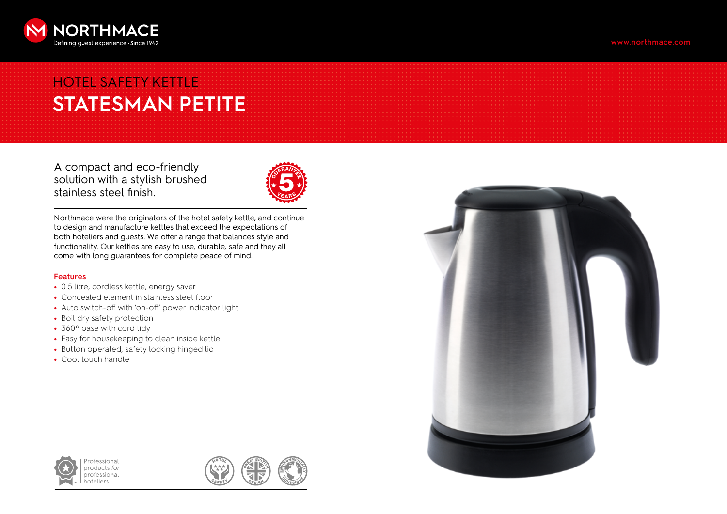

# HOTEL SAFETY KETTLE **STATESMAN PETITE**

A compact and eco-friendly solution with a stylish brushed stainless steel finish.



Northmace were the originators of the hotel safety kettle, and continue to design and manufacture kettles that exceed the expectations of both hoteliers and guests. We offer a range that balances style and functionality. Our kettles are easy to use, durable, safe and they all come with long guarantees for complete peace of mind.

### **Features**

- 0.5 litre, cordless kettle, energy saver
- Concealed element in stainless steel floor
- Auto switch-off with 'on-off' power indicator light
- Boil dry safety protection
- 360º base with cord tidy
- Easy for housekeeping to clean inside kettle
- Button operated, safety locking hinged lid
- Cool touch handle